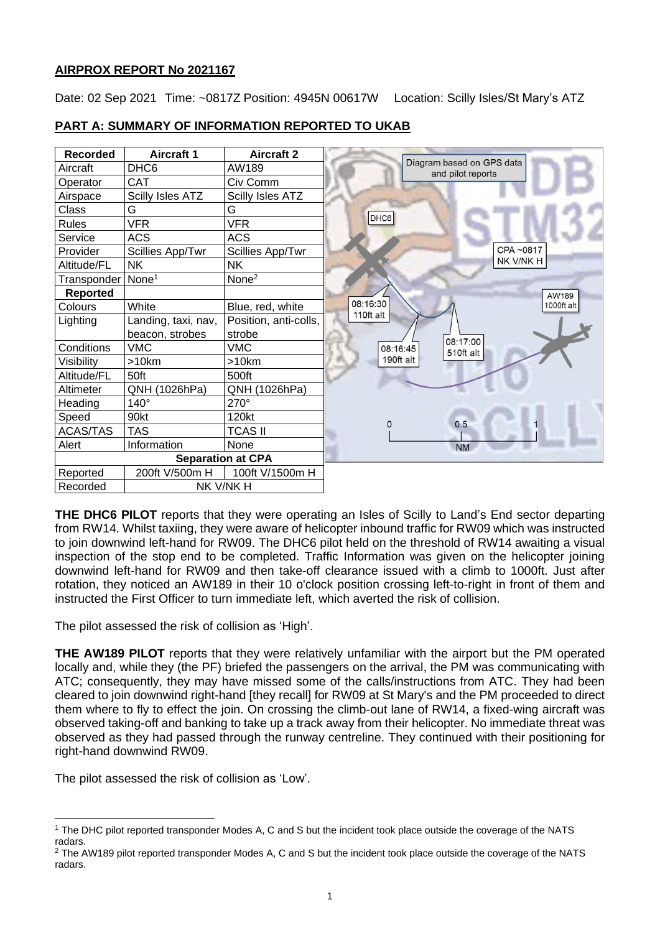## **AIRPROX REPORT No 2021167**

Date: 02 Sep 2021 Time: ~0817Z Position: 4945N 00617W Location: Scilly Isles/St Mary's ATZ



## **PART A: SUMMARY OF INFORMATION REPORTED TO UKAB**

**THE DHC6 PILOT** reports that they were operating an Isles of Scilly to Land's End sector departing from RW14. Whilst taxiing, they were aware of helicopter inbound traffic for RW09 which was instructed to join downwind left-hand for RW09. The DHC6 pilot held on the threshold of RW14 awaiting a visual inspection of the stop end to be completed. Traffic Information was given on the helicopter joining downwind left-hand for RW09 and then take-off clearance issued with a climb to 1000ft. Just after rotation, they noticed an AW189 in their 10 o'clock position crossing left-to-right in front of them and instructed the First Officer to turn immediate left, which averted the risk of collision.

The pilot assessed the risk of collision as 'High'.

**THE AW189 PILOT** reports that they were relatively unfamiliar with the airport but the PM operated locally and, while they (the PF) briefed the passengers on the arrival, the PM was communicating with ATC; consequently, they may have missed some of the calls/instructions from ATC. They had been cleared to join downwind right-hand [they recall] for RW09 at St Mary's and the PM proceeded to direct them where to fly to effect the join. On crossing the climb-out lane of RW14, a fixed-wing aircraft was observed taking-off and banking to take up a track away from their helicopter. No immediate threat was observed as they had passed through the runway centreline. They continued with their positioning for right-hand downwind RW09.

The pilot assessed the risk of collision as 'Low'.

<sup>1</sup> The DHC pilot reported transponder Modes A, C and S but the incident took place outside the coverage of the NATS radars.

<sup>&</sup>lt;sup>2</sup> The AW189 pilot reported transponder Modes A, C and S but the incident took place outside the coverage of the NATS radars.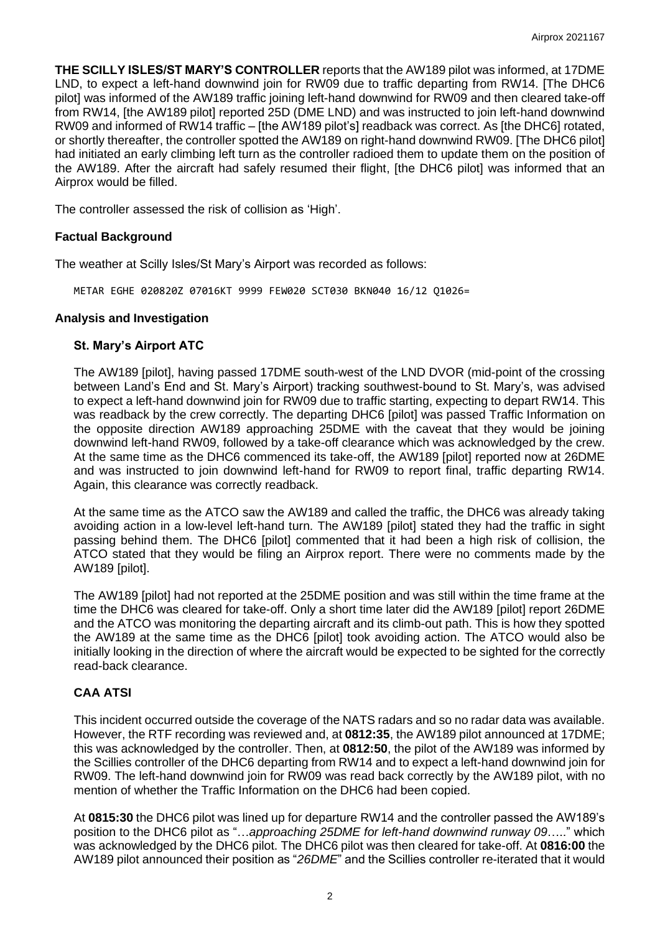**THE SCILLY ISLES/ST MARY'S CONTROLLER** reports that the AW189 pilot was informed, at 17DME LND, to expect a left-hand downwind join for RW09 due to traffic departing from RW14. [The DHC6 pilot] was informed of the AW189 traffic joining left-hand downwind for RW09 and then cleared take-off from RW14, [the AW189 pilot] reported 25D (DME LND) and was instructed to join left-hand downwind RW09 and informed of RW14 traffic – [the AW189 pilot's] readback was correct. As [the DHC6] rotated, or shortly thereafter, the controller spotted the AW189 on right-hand downwind RW09. [The DHC6 pilot] had initiated an early climbing left turn as the controller radioed them to update them on the position of the AW189. After the aircraft had safely resumed their flight, [the DHC6 pilot] was informed that an Airprox would be filled.

The controller assessed the risk of collision as 'High'.

## **Factual Background**

The weather at Scilly Isles/St Mary's Airport was recorded as follows:

METAR EGHE 020820Z 07016KT 9999 FEW020 SCT030 BKN040 16/12 Q1026=

#### **Analysis and Investigation**

#### **St. Mary's Airport ATC**

The AW189 [pilot], having passed 17DME south-west of the LND DVOR (mid-point of the crossing between Land's End and St. Mary's Airport) tracking southwest-bound to St. Mary's, was advised to expect a left-hand downwind join for RW09 due to traffic starting, expecting to depart RW14. This was readback by the crew correctly. The departing DHC6 [pilot] was passed Traffic Information on the opposite direction AW189 approaching 25DME with the caveat that they would be joining downwind left-hand RW09, followed by a take-off clearance which was acknowledged by the crew. At the same time as the DHC6 commenced its take-off, the AW189 [pilot] reported now at 26DME and was instructed to join downwind left-hand for RW09 to report final, traffic departing RW14. Again, this clearance was correctly readback.

At the same time as the ATCO saw the AW189 and called the traffic, the DHC6 was already taking avoiding action in a low-level left-hand turn. The AW189 [pilot] stated they had the traffic in sight passing behind them. The DHC6 [pilot] commented that it had been a high risk of collision, the ATCO stated that they would be filing an Airprox report. There were no comments made by the AW189 [pilot].

The AW189 [pilot] had not reported at the 25DME position and was still within the time frame at the time the DHC6 was cleared for take-off. Only a short time later did the AW189 [pilot] report 26DME and the ATCO was monitoring the departing aircraft and its climb-out path. This is how they spotted the AW189 at the same time as the DHC6 [pilot] took avoiding action. The ATCO would also be initially looking in the direction of where the aircraft would be expected to be sighted for the correctly read-back clearance.

## **CAA ATSI**

This incident occurred outside the coverage of the NATS radars and so no radar data was available. However, the RTF recording was reviewed and, at **0812:35**, the AW189 pilot announced at 17DME; this was acknowledged by the controller. Then, at **0812:50**, the pilot of the AW189 was informed by the Scillies controller of the DHC6 departing from RW14 and to expect a left-hand downwind join for RW09. The left-hand downwind join for RW09 was read back correctly by the AW189 pilot, with no mention of whether the Traffic Information on the DHC6 had been copied.

At **0815:30** the DHC6 pilot was lined up for departure RW14 and the controller passed the AW189's position to the DHC6 pilot as "…*approaching 25DME for left-hand downwind runway 09*….." which was acknowledged by the DHC6 pilot. The DHC6 pilot was then cleared for take-off. At **0816:00** the AW189 pilot announced their position as "*26DME*" and the Scillies controller re-iterated that it would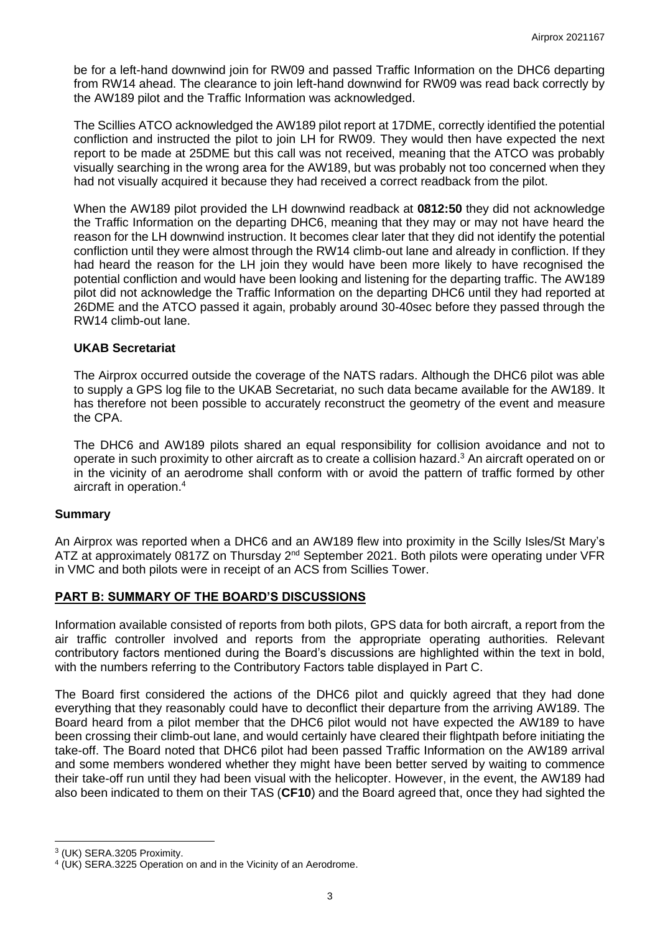be for a left-hand downwind join for RW09 and passed Traffic Information on the DHC6 departing from RW14 ahead. The clearance to join left-hand downwind for RW09 was read back correctly by the AW189 pilot and the Traffic Information was acknowledged.

The Scillies ATCO acknowledged the AW189 pilot report at 17DME, correctly identified the potential confliction and instructed the pilot to join LH for RW09. They would then have expected the next report to be made at 25DME but this call was not received, meaning that the ATCO was probably visually searching in the wrong area for the AW189, but was probably not too concerned when they had not visually acquired it because they had received a correct readback from the pilot.

When the AW189 pilot provided the LH downwind readback at **0812:50** they did not acknowledge the Traffic Information on the departing DHC6, meaning that they may or may not have heard the reason for the LH downwind instruction. It becomes clear later that they did not identify the potential confliction until they were almost through the RW14 climb-out lane and already in confliction. If they had heard the reason for the LH join they would have been more likely to have recognised the potential confliction and would have been looking and listening for the departing traffic. The AW189 pilot did not acknowledge the Traffic Information on the departing DHC6 until they had reported at 26DME and the ATCO passed it again, probably around 30-40sec before they passed through the RW14 climb-out lane.

## **UKAB Secretariat**

The Airprox occurred outside the coverage of the NATS radars. Although the DHC6 pilot was able to supply a GPS log file to the UKAB Secretariat, no such data became available for the AW189. It has therefore not been possible to accurately reconstruct the geometry of the event and measure the CPA.

The DHC6 and AW189 pilots shared an equal responsibility for collision avoidance and not to operate in such proximity to other aircraft as to create a collision hazard.<sup>3</sup> An aircraft operated on or in the vicinity of an aerodrome shall conform with or avoid the pattern of traffic formed by other aircraft in operation. 4

## **Summary**

An Airprox was reported when a DHC6 and an AW189 flew into proximity in the Scilly Isles/St Mary's ATZ at approximately 0817Z on Thursday 2<sup>nd</sup> September 2021. Both pilots were operating under VFR in VMC and both pilots were in receipt of an ACS from Scillies Tower.

## **PART B: SUMMARY OF THE BOARD'S DISCUSSIONS**

Information available consisted of reports from both pilots, GPS data for both aircraft, a report from the air traffic controller involved and reports from the appropriate operating authorities. Relevant contributory factors mentioned during the Board's discussions are highlighted within the text in bold, with the numbers referring to the Contributory Factors table displayed in Part C.

The Board first considered the actions of the DHC6 pilot and quickly agreed that they had done everything that they reasonably could have to deconflict their departure from the arriving AW189. The Board heard from a pilot member that the DHC6 pilot would not have expected the AW189 to have been crossing their climb-out lane, and would certainly have cleared their flightpath before initiating the take-off. The Board noted that DHC6 pilot had been passed Traffic Information on the AW189 arrival and some members wondered whether they might have been better served by waiting to commence their take-off run until they had been visual with the helicopter. However, in the event, the AW189 had also been indicated to them on their TAS (**CF10**) and the Board agreed that, once they had sighted the

<sup>3</sup> (UK) SERA.3205 Proximity.

<sup>4</sup> (UK) SERA.3225 Operation on and in the Vicinity of an Aerodrome.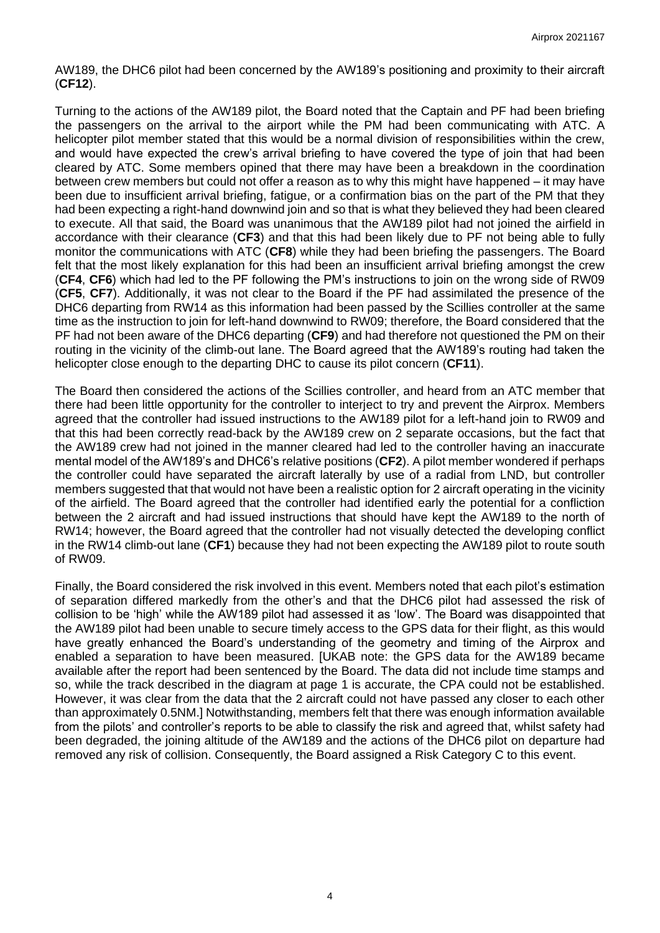AW189, the DHC6 pilot had been concerned by the AW189's positioning and proximity to their aircraft (**CF12**).

Turning to the actions of the AW189 pilot, the Board noted that the Captain and PF had been briefing the passengers on the arrival to the airport while the PM had been communicating with ATC. A helicopter pilot member stated that this would be a normal division of responsibilities within the crew, and would have expected the crew's arrival briefing to have covered the type of join that had been cleared by ATC. Some members opined that there may have been a breakdown in the coordination between crew members but could not offer a reason as to why this might have happened – it may have been due to insufficient arrival briefing, fatigue, or a confirmation bias on the part of the PM that they had been expecting a right-hand downwind join and so that is what they believed they had been cleared to execute. All that said, the Board was unanimous that the AW189 pilot had not joined the airfield in accordance with their clearance (**CF3**) and that this had been likely due to PF not being able to fully monitor the communications with ATC (**CF8**) while they had been briefing the passengers. The Board felt that the most likely explanation for this had been an insufficient arrival briefing amongst the crew (**CF4**, **CF6**) which had led to the PF following the PM's instructions to join on the wrong side of RW09 (**CF5**, **CF7**). Additionally, it was not clear to the Board if the PF had assimilated the presence of the DHC6 departing from RW14 as this information had been passed by the Scillies controller at the same time as the instruction to join for left-hand downwind to RW09; therefore, the Board considered that the PF had not been aware of the DHC6 departing (**CF9**) and had therefore not questioned the PM on their routing in the vicinity of the climb-out lane. The Board agreed that the AW189's routing had taken the helicopter close enough to the departing DHC to cause its pilot concern (**CF11**).

The Board then considered the actions of the Scillies controller, and heard from an ATC member that there had been little opportunity for the controller to interject to try and prevent the Airprox. Members agreed that the controller had issued instructions to the AW189 pilot for a left-hand join to RW09 and that this had been correctly read-back by the AW189 crew on 2 separate occasions, but the fact that the AW189 crew had not joined in the manner cleared had led to the controller having an inaccurate mental model of the AW189's and DHC6's relative positions (**CF2**). A pilot member wondered if perhaps the controller could have separated the aircraft laterally by use of a radial from LND, but controller members suggested that that would not have been a realistic option for 2 aircraft operating in the vicinity of the airfield. The Board agreed that the controller had identified early the potential for a confliction between the 2 aircraft and had issued instructions that should have kept the AW189 to the north of RW14; however, the Board agreed that the controller had not visually detected the developing conflict in the RW14 climb-out lane (**CF1**) because they had not been expecting the AW189 pilot to route south of RW09.

Finally, the Board considered the risk involved in this event. Members noted that each pilot's estimation of separation differed markedly from the other's and that the DHC6 pilot had assessed the risk of collision to be 'high' while the AW189 pilot had assessed it as 'low'. The Board was disappointed that the AW189 pilot had been unable to secure timely access to the GPS data for their flight, as this would have greatly enhanced the Board's understanding of the geometry and timing of the Airprox and enabled a separation to have been measured. [UKAB note: the GPS data for the AW189 became available after the report had been sentenced by the Board. The data did not include time stamps and so, while the track described in the diagram at page 1 is accurate, the CPA could not be established. However, it was clear from the data that the 2 aircraft could not have passed any closer to each other than approximately 0.5NM.] Notwithstanding, members felt that there was enough information available from the pilots' and controller's reports to be able to classify the risk and agreed that, whilst safety had been degraded, the joining altitude of the AW189 and the actions of the DHC6 pilot on departure had removed any risk of collision. Consequently, the Board assigned a Risk Category C to this event.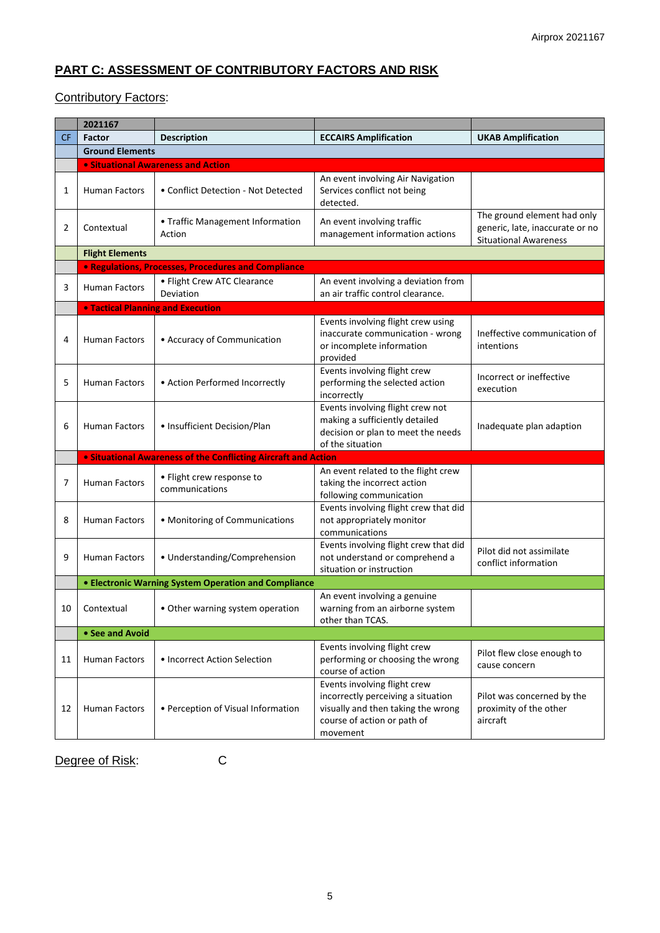# **PART C: ASSESSMENT OF CONTRIBUTORY FACTORS AND RISK**

## Contributory Factors:

|           | 2021167                                                     |                                                                |                                                                                                                                                     |                                                                                                |
|-----------|-------------------------------------------------------------|----------------------------------------------------------------|-----------------------------------------------------------------------------------------------------------------------------------------------------|------------------------------------------------------------------------------------------------|
| <b>CF</b> | Factor                                                      | <b>Description</b>                                             | <b>ECCAIRS Amplification</b>                                                                                                                        | <b>UKAB Amplification</b>                                                                      |
|           | <b>Ground Elements</b>                                      |                                                                |                                                                                                                                                     |                                                                                                |
|           |                                                             | <b>• Situational Awareness and Action</b>                      |                                                                                                                                                     |                                                                                                |
| 1         | <b>Human Factors</b>                                        | • Conflict Detection - Not Detected                            | An event involving Air Navigation<br>Services conflict not being<br>detected.                                                                       |                                                                                                |
| 2         | Contextual                                                  | • Traffic Management Information<br>Action                     | An event involving traffic<br>management information actions                                                                                        | The ground element had only<br>generic, late, inaccurate or no<br><b>Situational Awareness</b> |
|           | <b>Flight Elements</b>                                      |                                                                |                                                                                                                                                     |                                                                                                |
|           |                                                             | <b>• Regulations, Processes, Procedures and Compliance</b>     |                                                                                                                                                     |                                                                                                |
| 3         | <b>Human Factors</b>                                        | • Flight Crew ATC Clearance<br>Deviation                       | An event involving a deviation from<br>an air traffic control clearance.                                                                            |                                                                                                |
|           | <b>. Tactical Planning and Execution</b>                    |                                                                |                                                                                                                                                     |                                                                                                |
| 4         | <b>Human Factors</b>                                        | • Accuracy of Communication                                    | Events involving flight crew using<br>inaccurate communication - wrong<br>or incomplete information<br>provided                                     | Ineffective communication of<br>intentions                                                     |
| 5         | Human Factors                                               | • Action Performed Incorrectly                                 | Events involving flight crew<br>performing the selected action<br>incorrectly                                                                       | Incorrect or ineffective<br>execution                                                          |
| 6         | <b>Human Factors</b>                                        | • Insufficient Decision/Plan                                   | Events involving flight crew not<br>making a sufficiently detailed<br>decision or plan to meet the needs<br>of the situation                        | Inadequate plan adaption                                                                       |
|           |                                                             | • Situational Awareness of the Conflicting Aircraft and Action |                                                                                                                                                     |                                                                                                |
| 7         | Human Factors                                               | • Flight crew response to<br>communications                    | An event related to the flight crew<br>taking the incorrect action<br>following communication                                                       |                                                                                                |
| 8         | Human Factors                                               | • Monitoring of Communications                                 | Events involving flight crew that did<br>not appropriately monitor<br>communications                                                                |                                                                                                |
| 9         | <b>Human Factors</b>                                        | • Understanding/Comprehension                                  | Events involving flight crew that did<br>not understand or comprehend a<br>situation or instruction                                                 | Pilot did not assimilate<br>conflict information                                               |
|           | <b>• Electronic Warning System Operation and Compliance</b> |                                                                |                                                                                                                                                     |                                                                                                |
| 10        | Contextual                                                  | • Other warning system operation                               | An event involving a genuine<br>warning from an airborne system<br>other than TCAS.                                                                 |                                                                                                |
|           | • See and Avoid                                             |                                                                |                                                                                                                                                     |                                                                                                |
| 11        | <b>Human Factors</b>                                        | • Incorrect Action Selection                                   | Events involving flight crew<br>performing or choosing the wrong<br>course of action                                                                | Pilot flew close enough to<br>cause concern                                                    |
| 12        | Human Factors                                               | • Perception of Visual Information                             | Events involving flight crew<br>incorrectly perceiving a situation<br>visually and then taking the wrong<br>course of action or path of<br>movement | Pilot was concerned by the<br>proximity of the other<br>aircraft                               |

Degree of Risk: C